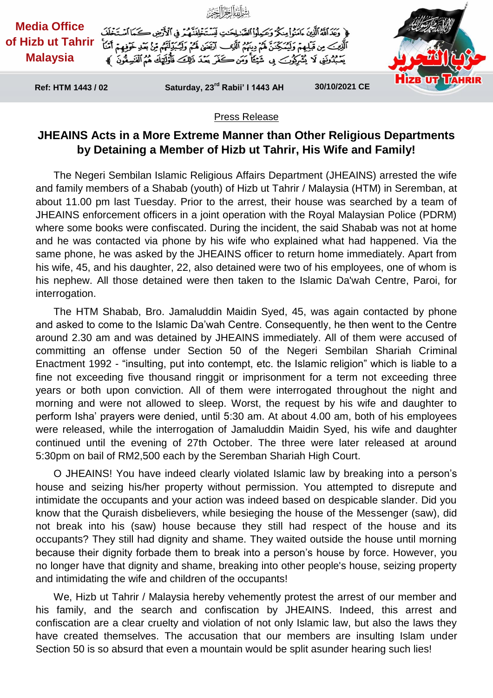

## Press Release

## **JHEAINS Acts in a More Extreme Manner than Other Religious Departments by Detaining a Member of Hizb ut Tahrir, His Wife and Family!**

The Negeri Sembilan Islamic Religious Affairs Department (JHEAINS) arrested the wife and family members of a Shabab (youth) of Hizb ut Tahrir / Malaysia (HTM) in Seremban, at about 11.00 pm last Tuesday. Prior to the arrest, their house was searched by a team of JHEAINS enforcement officers in a joint operation with the Royal Malaysian Police (PDRM) where some books were confiscated. During the incident, the said Shabab was not at home and he was contacted via phone by his wife who explained what had happened. Via the same phone, he was asked by the JHEAINS officer to return home immediately. Apart from his wife, 45, and his daughter, 22, also detained were two of his employees, one of whom is his nephew. All those detained were then taken to the Islamic Da'wah Centre, Paroi, for interrogation.

The HTM Shabab, Bro. Jamaluddin Maidin Syed, 45, was again contacted by phone and asked to come to the Islamic Da'wah Centre. Consequently, he then went to the Centre around 2.30 am and was detained by JHEAINS immediately. All of them were accused of committing an offense under Section 50 of the Negeri Sembilan Shariah Criminal Enactment 1992 - "insulting, put into contempt, etc. the Islamic religion" which is liable to a fine not exceeding five thousand ringgit or imprisonment for a term not exceeding three years or both upon conviction. All of them were interrogated throughout the night and morning and were not allowed to sleep. Worst, the request by his wife and daughter to perform Isha' prayers were denied, until 5:30 am. At about 4.00 am, both of his employees were released, while the interrogation of Jamaluddin Maidin Syed, his wife and daughter continued until the evening of 27th October. The three were later released at around 5:30pm on bail of RM2,500 each by the Seremban Shariah High Court.

O JHEAINS! You have indeed clearly violated Islamic law by breaking into a person's house and seizing his/her property without permission. You attempted to disrepute and intimidate the occupants and your action was indeed based on despicable slander. Did you know that the Quraish disbelievers, while besieging the house of the Messenger (saw), did not break into his (saw) house because they still had respect of the house and its occupants? They still had dignity and shame. They waited outside the house until morning because their dignity forbade them to break into a person's house by force. However, you no longer have that dignity and shame, breaking into other people's house, seizing property and intimidating the wife and children of the occupants!

We, Hizb ut Tahrir / Malaysia hereby vehemently protest the arrest of our member and his family, and the search and confiscation by JHEAINS. Indeed, this arrest and confiscation are a clear cruelty and violation of not only Islamic law, but also the laws they have created themselves. The accusation that our members are insulting Islam under Section 50 is so absurd that even a mountain would be split asunder hearing such lies!